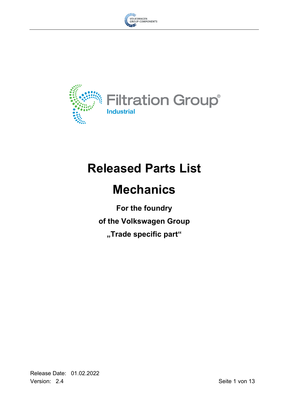



# **Released Parts List**

# **Mechanics**

**For the foundry of the Volkswagen Group "Trade specific part"**

Release Date: 01.02.2022 Version: 2.4 Seite 1 von 13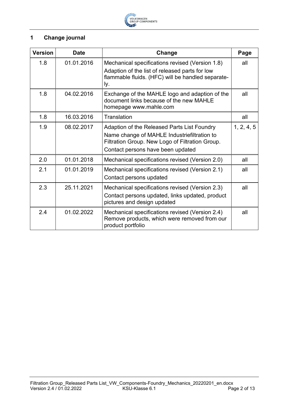

# <span id="page-1-0"></span>**1 Change journal**

| <b>Version</b> | <b>Date</b> | Change                                                                                                                                                                             | Page       |
|----------------|-------------|------------------------------------------------------------------------------------------------------------------------------------------------------------------------------------|------------|
| 1.8            | 01.01.2016  | Mechanical specifications revised (Version 1.8)<br>Adaption of the list of released parts for low<br>flammable fluids. (HFC) will be handled separate-<br>ly.                      | all        |
| 1.8            | 04.02.2016  | Exchange of the MAHLE logo and adaption of the<br>document links because of the new MAHLE<br>homepage www.mahle.com                                                                | all        |
| 1.8            | 16.03.2016  | Translation                                                                                                                                                                        | all        |
| 1.9            | 08.02.2017  | Adaption of the Released Parts List Foundry<br>Name change of MAHLE Industriefiltration to<br>Filtration Group. New Logo of Filtration Group.<br>Contact persons have been updated | 1, 2, 4, 5 |
| 2.0            | 01.01.2018  | Mechanical specifications revised (Version 2.0)                                                                                                                                    | all        |
| 2.1            | 01.01.2019  | Mechanical specifications revised (Version 2.1)<br>Contact persons updated                                                                                                         | all        |
| 2.3            | 25.11.2021  | Mechanical specifications revised (Version 2.3)<br>Contact persons updated, links updated, product<br>pictures and design updated                                                  | all        |
| 2.4            | 01.02.2022  | Mechanical specifications revised (Version 2.4)<br>Remove products, which were removed from our<br>product portfolio                                                               | all        |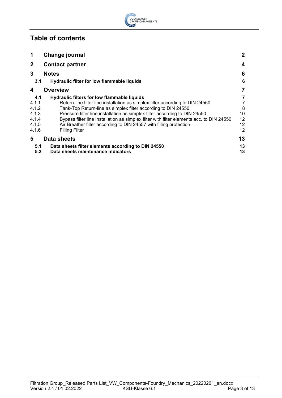

# **Table of contents**

| 1            | Change journal                                                                           | $\mathbf{2}$ |
|--------------|------------------------------------------------------------------------------------------|--------------|
| $\mathbf{2}$ | <b>Contact partner</b>                                                                   | 4            |
| 3            | <b>Notes</b>                                                                             | 6            |
| 3.1          | Hydraulic filter for low flammable liquids                                               | 6            |
| 4            | <b>Overview</b>                                                                          | 7            |
| 4.1          | <b>Hydraulic filters for low flammable liquids</b>                                       | 7            |
| 4.1.1        | Return-line filter line installation as simplex filter according to DIN 24550            | 7            |
| 4.1.2        | Tank-Top Return-line as simplex filter according to DIN 24550                            | 8            |
| 4.1.3        | Pressure filter line installation as simplex filter according to DIN 24550               | 10           |
| 4.1.4        | Bypass filter line installation as simplex filter with filter elements acc. to DIN 24550 | 12           |
| 4.1.5        | Air Breather filter according to DIN 24557 with filling protection                       | 12           |
| 4.1.6        | <b>Filling Filter</b>                                                                    | 12           |
| 5            | <b>Data sheets</b>                                                                       | 13           |
| 5.1          | Data sheets filter elements according to DIN 24550                                       | 13           |
| 5.2          | Data sheets maintenance indicators                                                       | 13           |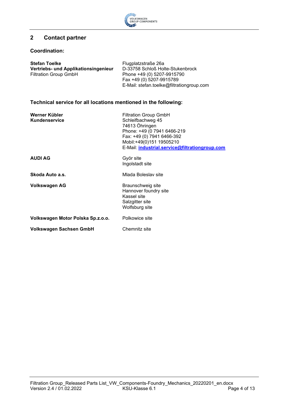

# <span id="page-3-0"></span>**2 Contact partner**

#### **Coordination:**

| <b>Stefan Toelke</b>                 | Flugplatzstraße 26a                       |
|--------------------------------------|-------------------------------------------|
| Vertriebs- und Applikationsingenieur | D-33758 Schloß Holte-Stukenbrock          |
| <b>Filtration Group GmbH</b>         | Phone +49 (0) 5207-9915790                |
|                                      | Fax +49 (0) 5207-9915789                  |
|                                      | E-Mail: stefan.toelke@filtrationgroup.com |

## **Technical service for all locations mentioned in the following:**

| Werner Kübler<br>Kundenservice    | <b>Filtration Group GmbH</b><br>Schleifbachweg 45<br>74613 Öhringen<br>Phone: +49 (0 7941 6466-219<br>Fax: +49 (0) 7941 6466-392<br>Mobil:+49(0)151 19505210<br>E-Mail: industrial.service@filtrationgroup.com |
|-----------------------------------|----------------------------------------------------------------------------------------------------------------------------------------------------------------------------------------------------------------|
| <b>AUDI AG</b>                    | Györ site<br>Ingolstadt site                                                                                                                                                                                   |
| Skoda Auto a.s.                   | Mlada Boleslav site                                                                                                                                                                                            |
| Volkswagen AG                     | Braunschweig site<br>Hannover foundry site<br>Kassel site<br>Salzgitter site<br>Wolfsburg site                                                                                                                 |
| Volkswagen Motor Polska Sp.z.o.o. | Polkowice site                                                                                                                                                                                                 |
| <b>Volkswagen Sachsen GmbH</b>    | Chemnitz site                                                                                                                                                                                                  |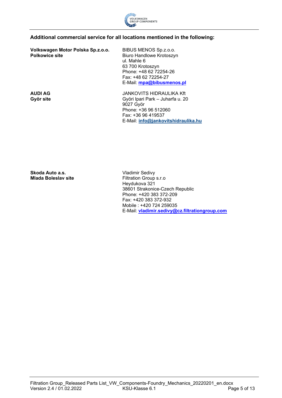

### **Additional commercial service for all locations mentioned in the following:**

**Volkswagen Motor Polska Sp.z.o.o. Polkowice site**

BIBUS MENOS Sp.z.o.o. Biuro Handlowe Krotoszyn ul. Mahle 6 63 700 Krotoszyn Phone: +48 62 72254-26 Fax: +48 62 72254-27 E-Mail: **[mpa@bibusmenos.pl](mailto:mpa@bibusmenos.pl)**

**AUDI AG Györ site**

JANKOVITS HIDRAULIKA Kft Györi Ipari Park – Juharfa u. 20 9027 Györ Phone: +36 96 512060 Fax: +36 96 419537 E-Mail: **[info@jankovitshidraulika.hu](mailto:info@jankovitshidraulika.hu)**

**Skoda Auto a.s. Mlada Boleslav site**

Vladimir Sedivy Filtration Group s.r.o Heydukova 321 38601 Strakonice-Czech Republic Phone: +420 383 372-209 Fax: +420 383 372-932 Mobile : +420 724 259035 E-Mail: **[vladimir.sedivy@cz.filtrationgroup.com](mailto:vladimir.sedivy@cz.filtrationgroup.com)**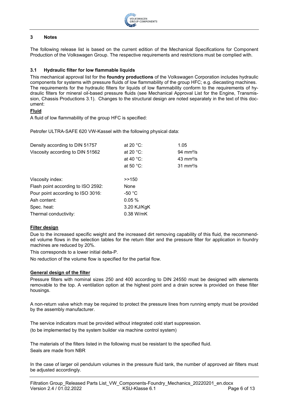

#### <span id="page-5-0"></span>**3 Notes**

The following release list is based on the current edition of the Mechanical Specifications for Component Production of the Volkswagen Group. The respective requirements and restrictions must be complied with.

#### <span id="page-5-1"></span>**3.1 Hydraulic filter for low flammable liquids**

This mechanical approval list for the **foundry productions** of the Volkswagen Corporation includes hydraulic components for systems with pressure fluids of low flammability of the group HFC; e.g. diecasting machines. The requirements for the hydraulic filters for liquids of low flammability conform to the requirements of hydraulic filters for mineral oil-based pressure fluids (see Mechanical Approval List for the Engine, Transmission, Chassis Productions 3.1). Changes to the structural design are noted separately in the text of this document:

#### **Fluid**

A fluid of low flammability of the group HFC is specified:

Petrofer ULTRA-SAFE 620 VW-Kassel with the following physical data:

| Density according to DIN 51757     | at 20 $°C$ :     | 1.05                       |
|------------------------------------|------------------|----------------------------|
| Viscosity according to DIN 51562   | at 20 $°C$ :     | $94 \text{ mm}^2$ /s       |
|                                    | at 40 $°C$ :     | $43 \text{ mm}^2/\text{s}$ |
|                                    | at 50 $°C$ :     | $31 \text{ mm}^2$ /s       |
|                                    |                  |                            |
| Viscosity index:                   | >>150            |                            |
| Flash point according to ISO 2592: | None             |                            |
| Pour point according to ISO 3016:  | -50 $^{\circ}$ C |                            |
| Ash content:                       | 0.05%            |                            |
| Spec. heat:                        | 3.20 KJ/KgK      |                            |
| Thermal conductivity:              | 0.38 W/mK        |                            |

#### **Filter design**

Due to the increased specific weight and the increased dirt removing capability of this fluid, the recommended volume flows in the selection tables for the return filter and the pressure filter for application in foundry machines are reduced by 20%.

This corresponds to a lower initial delta-P.

No reduction of the volume flow is specified for the partial flow.

#### **General design of the filter**

Pressure filters with nominal sizes 250 and 400 according to DIN 24550 must be designed with elements removable to the top. A ventilation option at the highest point and a drain screw is provided on these filter housings.

A non-return valve which may be required to protect the pressure lines from running empty must be provided by the assembly manufacturer.

The service indicators must be provided without integrated cold start suppression. (to be implemented by the system builder via machine control system)

The materials of the filters listed in the following must be resistant to the specified fluid. Seals are made from NBR

In the case of larger oil pendulum volumes in the pressure fluid tank, the number of approved air filters must be adjusted accordingly.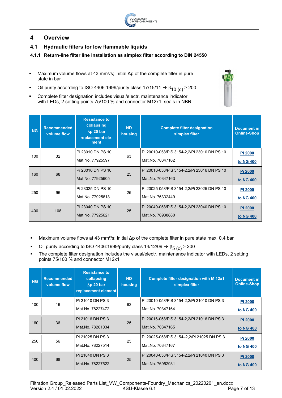

# <span id="page-6-0"></span>**4 Overview**

- <span id="page-6-1"></span>**4.1 Hydraulic filters for low flammable liquids**
- <span id="page-6-2"></span>**4.1.1 Return-line filter line installation as simplex filter according to DIN 24550**
- **Maximum volume flows at 43 mm<sup>2</sup>/s; initial**  $\Delta p$  **of the complete filter in pure** state in bar
- Oil purity according to ISO 4406:1999/purity class 17/15/11  $\rightarrow \beta_{10}$  (c)  $\geq$  200
- Complete filter designation includes visual/electr. maintenance indicator with LEDs, 2 setting points 75/100 % and connector M12x1, seals in NBR

| <b>NG</b> | <b>Recommended</b><br>volume flow | <b>Resistance to</b><br>collapsing<br>$\Delta p$ 20 bar<br>replacement ele-<br>ment | <b>ND</b><br>housing | <b>Complete filter designation</b><br>simplex filter | <b>Document in</b><br><b>Online-Shop</b> |
|-----------|-----------------------------------|-------------------------------------------------------------------------------------|----------------------|------------------------------------------------------|------------------------------------------|
| 100       | 32                                | Pi 23010 DN PS 10                                                                   | 63                   | Pi 20010-058/PiS 3154-2, 2/Pi 23010 DN PS 10         | <b>Pi 2000</b>                           |
|           |                                   | Mat.No. 77925597                                                                    |                      | Mat.No. 70347162                                     | to NG 400                                |
| 160       | 68                                | Pi 23016 DN PS 10                                                                   | 25                   | Pi 20016-058/PiS 3154-2, 2/Pi 23016 DN PS 10         | Pi 2000                                  |
|           |                                   | Mat.No. 77925605                                                                    |                      | Mat.No. 70347163                                     | to NG 400                                |
| 250       | 96                                | Pi 23025 DN PS 10                                                                   | 25                   | Pi 20025-058/PiS 3154-2, 2/Pi 23025 DN PS 10         | Pi 2000                                  |
|           |                                   | Mat.No. 77925613                                                                    |                      | Mat.No. 76332449                                     | to NG 400                                |
| 400       | 108                               | Pi 23040 DN PS 10                                                                   | 25                   | Pi 20040-058/PiS 3154-2, 2/Pi 23040 DN PS 10         | <b>Pi 2000</b>                           |
|           |                                   | Mat.No. 77925621                                                                    |                      | Mat.No. 76938880                                     | to NG 400                                |

- Maximum volume flows at 43 mm²/s; initial Δp of the complete filter in pure state max. 0.4 bar
- Oil purity according to ISO 4406:1999/purity class 14/12/09  $\rightarrow \beta_{5\ (c)} \ge 200$
- The complete filter designation includes the visual/electr. maintenance indicator with LEDs, 2 setting points 75/100 % and connector M12x1

| <b>NG</b> | <b>Recommended</b><br>volume flow | <b>Resistance to</b><br>collapsing<br>$\Delta p$ 20 bar<br>replacement element | <b>ND</b><br>housing | <b>Complete filter designation with M 12x1</b><br>simplex filter | <b>Document in</b><br><b>Online-Shop</b> |
|-----------|-----------------------------------|--------------------------------------------------------------------------------|----------------------|------------------------------------------------------------------|------------------------------------------|
| 100       | 16                                | Pi 21010 DN PS 3                                                               | 63                   | Pi 20010-058/PiS 3154-2, 2/Pi 21010 DN PS 3                      | <b>Pi 2000</b>                           |
|           |                                   | Mat.No. 78227472                                                               |                      | Mat.No. 70347164                                                 | to NG 400                                |
| 160       | 36                                | Pi 21016 DN PS 3                                                               | 25                   | Pi 20016-058/PiS 3154-2, 2/Pi 21016 DN PS 3                      | <b>Pi 2000</b>                           |
|           |                                   | Mat.No. 78261034                                                               |                      | Mat.No. 70347165                                                 | to NG 400                                |
| 250       | 56                                | Pi 21025 DN PS 3                                                               | 25                   | Pi 20025-058/PiS 3154-2,2/Pi 21025 DN PS 3                       | <b>Pi 2000</b>                           |
|           |                                   | Mat.No. 78227514                                                               |                      | Mat.No. 70347167                                                 | to NG 400                                |
| 400       | 68                                | Pi 21040 DN PS 3                                                               | 25                   | Pi 20040-058/PiS 3154-2, 2/Pi 21040 DN PS 3                      | <b>Pi 2000</b>                           |
|           |                                   | Mat.No. 78227522                                                               |                      | Mat.No. 76952931                                                 | to NG 400                                |

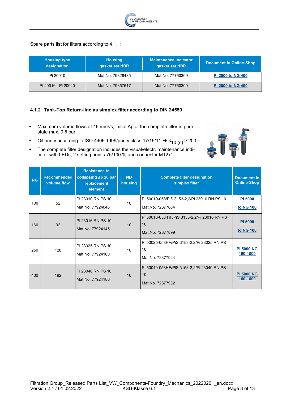

Spare parts list for filters according to 4.1.1:

| <b>Housing type</b><br>designation | <b>Housing</b><br>gasket set NBR | <b>Maintenance indicator</b><br>gasket set NBR | <b>Document in Online-Shop</b> |
|------------------------------------|----------------------------------|------------------------------------------------|--------------------------------|
| Pi 20010                           | Mat.No. 79328485                 | Mat.No. 77760309                               | <b>Pi 2000 to NG 400</b>       |
| Pi 20016 - Pi 20040                | Mat.No. 79357617                 | Mat.No. 77760309                               | <b>Pi 2000 to NG 400</b>       |

**LTFI** 

#### <span id="page-7-0"></span>**4.1.2 Tank-Top Return-line as simplex filter according to DIN 24550**

- Maximum volume flows at 46 mm<sup>2</sup>/s; initial Δp of the complete filter in pure state max. 0,5 bar
- Oil purity according to ISO 4406:1999/purity class 17/15/11  $\rightarrow \beta_{10}$  (c)  $\geq 200$
- **The complete filter designation includes the visual/electr. maintenance indi**cator with LEDs, 2 setting points 75/100 % and connector M12x1

| <b>NG</b> | <b>Recommended</b><br>volume flow | <b>Resistance to</b><br>collapsing $\Delta p$ 20 bar<br>replacement<br>element | <b>ND</b><br>housing | <b>Complete filter designation</b><br>simplex filter                  | <b>Document in</b><br><b>Online-Shop</b> |
|-----------|-----------------------------------|--------------------------------------------------------------------------------|----------------------|-----------------------------------------------------------------------|------------------------------------------|
| 100       | 52                                | Pi 23010 RN PS 10<br>Mat.No. 77924046                                          | 10                   | Pi 50010-058/PiS 3153-2,2/Pi 23010 RN PS 10<br>Mat.No. 72377884       | <b>Pi 5000</b><br>to NG 100              |
| 160       | 92                                | Pi 23016 RN PS 10<br>Mat.No. 77924145                                          | 10                   | Pi 50016-058 HF/PiS 3153-2,2/Pi 23016 RN PS<br>10<br>Mat.No. 72377899 | <b>Pi 5000</b><br>to NG 100              |
| 250       | 128                               | Pi 23025 RN PS 10<br>Mat.No. 77924160                                          | 10                   | Pi 50025-058HF/PiS 3153-2,2/Pi 23025 RN PS<br>10<br>Mat.No. 72377924  | <b>Pi 5000 NG</b><br>160-1000            |
| 400       | 192                               | Pi 23040 RN PS 10<br>Mat.No. 77924186                                          | 10                   | Pi 50040-058HF/PiS 3153-2,2/Pi 23040 RN PS<br>10<br>Mat.No. 72377932  | <b>Pi 5000 NG</b><br>160-1000            |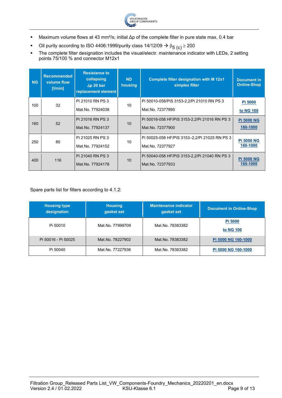

- Maximum volume flows at 43 mm²/s; initial Δp of the complete filter in pure state max. 0.4 bar
- Oil purity according to ISO 4406:1999/purity class 14/12/09  $\rightarrow \beta_{5\ (c)} \ge 200$
- The complete filter designation includes the visual/electr. maintenance indicator with LEDs, 2 setting points 75/100 % and connector M12x1

| <b>NG</b> | <b>Recommended</b><br>volume flow<br>$[$ l/min] | <b>Resistance to</b><br>collapsing<br>$\Delta p$ 20 bar<br>replacement element | <b>ND</b><br>housing | <b>Complete filter designation with M 12x1</b><br>simplex filter | <b>Document in</b><br><b>Online-Shop</b> |
|-----------|-------------------------------------------------|--------------------------------------------------------------------------------|----------------------|------------------------------------------------------------------|------------------------------------------|
| 100       | 32                                              | Pi 21010 RN PS 3                                                               | 10                   | Pi 50010-058/PiS 3153-2, 2/Pi 21010 RN PS 3                      | Pi 5000                                  |
|           | Mat.No. 77924038                                |                                                                                | Mat.No. 72377895     | to NG 100                                                        |                                          |
| 160       | 52                                              | Pi 21016 RN PS 3                                                               | 10                   | Pi 50016-058 HF/PiS 3153-2, 2/Pi 21016 RN PS 3                   | <b>Pi 5000 NG</b>                        |
|           |                                                 | Mat.No. 77924137                                                               |                      | Mat.No. 72377900                                                 | 160-1000                                 |
| 250       | 80                                              | Pi 21025 RN PS 3                                                               | 10                   | Pi 50025-058 HF/PiS 3153-2,2/Pi 21025 RN PS 3                    | <b>Pi 5000 NG</b>                        |
|           |                                                 | Mat.No. 77924152                                                               |                      | Mat.No. 72377927                                                 | 160-1000                                 |
| 400       | 116                                             | Pi 21040 RN PS 3                                                               | 10                   | Pi 50040-058 HF/PiS 3153-2, 2/Pi 21040 RN PS 3                   | <b>Pi 5000 NG</b>                        |
|           |                                                 | Mat.No. 77924178                                                               |                      | Mat.No. 72377933                                                 | 160-1000                                 |

Spare parts list for filters according to 4.1.2:

| <b>Housing type</b><br>designation | <b>Housing</b><br>gasket set | <b>Maintenance indicator</b><br>gasket set | <b>Document in Online-Shop</b> |
|------------------------------------|------------------------------|--------------------------------------------|--------------------------------|
| Pi 50010                           | Mat.No. 77999709             | Mat.No. 78383382                           | Pi 5000<br>to NG 100           |
| Pi 50016 - Pi 50025                | Mat.No. 78227902             | Mat.No. 78383382                           | Pi 5000 NG 160-1000            |
| Pi 50040                           | Mat.No. 77227936             | Mat.No. 78383382                           | Pi 5000 NG 160-1000            |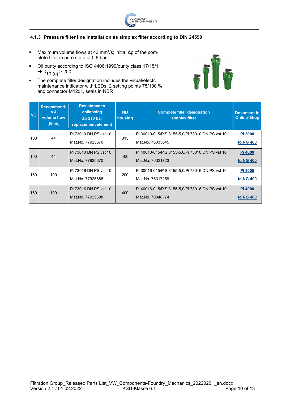

### <span id="page-9-0"></span>**4.1.3 Pressure filter line installation as simplex filter according to DIN 24550**

- Maximum volume flows at 43 mm<sup>2</sup>/s; initial  $\Delta p$  of the complete filter in pure state of 0,8 bar
- Oil purity according to ISO 4406:1999/purity class 17/15/11  $\rightarrow \beta_{10}$  (c)  $\geq 200$
- **The complete filter designation includes the visual/electr.** maintenance indicator with LEDs, 2 setting points 75/100 % and connector M12x1, seals in NBR



| <b>NG</b> | Recommend-<br>ed<br>volume flow<br>[ l/min] | <b>Resistance to</b><br>collapsing<br>$\Delta p$ 210 bar<br>replacement element | <b>ND</b><br>housing | <b>Complete filter designation</b><br>simplex filter | <b>Document in</b><br><b>Online-Shop</b> |
|-----------|---------------------------------------------|---------------------------------------------------------------------------------|----------------------|------------------------------------------------------|------------------------------------------|
| 100       | 44                                          | Pi 73010 DN PS vst 10                                                           | 315                  | Pi 30010-015/PiS 3155-5,0/Pi 73010 DN PS vst 10      | Pi 3000                                  |
|           |                                             | Mat.No. 77925670                                                                |                      | Mat.No. 76333645                                     | to NG 400                                |
| 100       | 44                                          | IPi 73010 DN PS vst 10                                                          | 400                  | Pi 40010-015/PiS 3155-5,0/Pi 73010 DN PS vst 10      | <b>Pi 4000</b>                           |
|           |                                             | Mat.No. 77925670                                                                |                      | Mat.No. 76321723                                     | to NG 400                                |
| 160       | 100                                         | Pi 73016 DN PS vst 10                                                           | 200                  | Pi 30016-015/PiS 3155-5,0/Pi 73016 DN PS vst 10      | Pi 3000                                  |
|           |                                             | Mat.No. 77925688                                                                |                      | Mat.No. 76317259                                     | to NG 400                                |
| 160       | 100                                         | IPi 73016 DN PS vst 10                                                          | 400                  | Pi 40016-015/PiS 3155-5,0/Pi 73016 DN PS vst 10      | <b>Pi 4000</b>                           |
|           |                                             | Mat.No. 77925688                                                                |                      | Mat.No. 70348174                                     | to NG 400                                |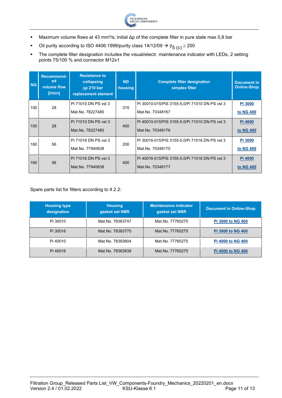

- Maximum volume flows at 43 mm²/s; initial Δp of the complete filter in pure state max 0,8 bar
- Oil purity according to ISO 4406:1999/purity class 14/12/09  $\rightarrow \beta_{5\ (c)} \ge 200$
- The complete filter designation includes the visual/electr. maintenance indicator with LEDs, 2 setting points 75/100 % and connector M12x1

| <b>NG</b> | Recommend-<br>ed.<br>volume flow<br>[ l min] | <b>Resistance to</b><br>collapsing<br>$\Delta p$ 210 bar<br>replacement element | <b>ND</b><br>housing | <b>Complete filter designation</b><br>simplex filter | <b>Document in</b><br><b>Online-Shop</b> |
|-----------|----------------------------------------------|---------------------------------------------------------------------------------|----------------------|------------------------------------------------------|------------------------------------------|
| 100       | 28                                           | Pi 71010 DN PS vst 3                                                            | 315                  | Pi 30010-015/PiS 3155-5,0/Pi 71010 DN PS vst 3       | Pi 3000                                  |
|           |                                              | Mat.No. 78227480                                                                |                      | Mat.No. 70348167                                     | to NG 400                                |
| 100       | 28                                           | Pi 71010 DN PS vst 3                                                            | 400                  | Pi 40010-015/PiS 3155-5,0/Pi 71010 DN PS vst 3       | <b>Pi 4000</b>                           |
|           |                                              | Mat.No. 78227480                                                                |                      | Mat.No. 70348176                                     | to NG 400                                |
| 160       | 56                                           | Pi 71016 DN PS vst 3                                                            | 200                  | Pi 30016-015/PiS 3155-5,0/Pi 71016 DN PS vst 3       | Pi 3000                                  |
|           |                                              | Mat.No. 77940638                                                                |                      | Mat.No. 70348170                                     | to NG 400                                |
| 160       | 56                                           | Pi 71016 DN PS vst 3                                                            | 400                  | Pi 40016-015/PiS 3155-5,0/Pi 71016 DN PS vst 3       | Pi 4000                                  |
|           |                                              | Mat.No. 77940638                                                                |                      | Mat.No. 70348177                                     | to NG 400                                |

Spare parts list for filters according to 4.2.2:

| <b>Housing type</b><br>designation | <b>Housing</b><br>gasket set NBR | <b>Maintenance indicator</b><br>gasket set NBR | <b>Document in Online-Shop</b> |
|------------------------------------|----------------------------------|------------------------------------------------|--------------------------------|
| Pi 30010                           | Mat.No. 78383747                 | Mat.No. 77760275                               | <b>Pi 3000 to NG 400</b>       |
| Pi 30016                           | Mat.No. 78383770                 | Mat.No. 77760275                               | <b>Pi 3000 to NG 400</b>       |
| Pi 40010                           | Mat.No. 78383804                 | Mat.No. 77760275                               | <b>Pi 4000 to NG 400</b>       |
| Pi 40016                           | Mat.No. 78383838                 | Mat.No. 77760275                               | <b>Pi 4000 to NG 400</b>       |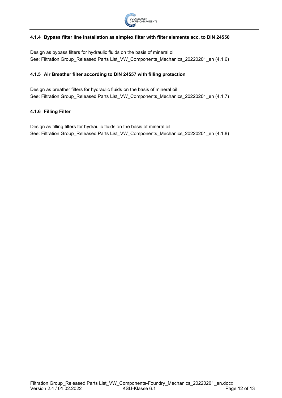

#### <span id="page-11-0"></span>**4.1.4 Bypass filter line installation as simplex filter with filter elements acc. to DIN 24550**

Design as bypass filters for hydraulic fluids on the basis of mineral oil See: Filtration Group\_Released Parts List\_VW\_Components\_Mechanics\_20220201\_en (4.1.6)

#### <span id="page-11-1"></span>**4.1.5 Air Breather filter according to DIN 24557 with filling protection**

Design as breather filters for hydraulic fluids on the basis of mineral oil See: Filtration Group\_Released Parts List\_VW\_Components\_Mechanics\_20220201\_en (4.1.7)

#### <span id="page-11-2"></span>**4.1.6 Filling Filter**

Design as filling filters for hydraulic fluids on the basis of mineral oil See: Filtration Group\_Released Parts List\_VW\_Components\_Mechanics\_20220201\_en (4.1.8)